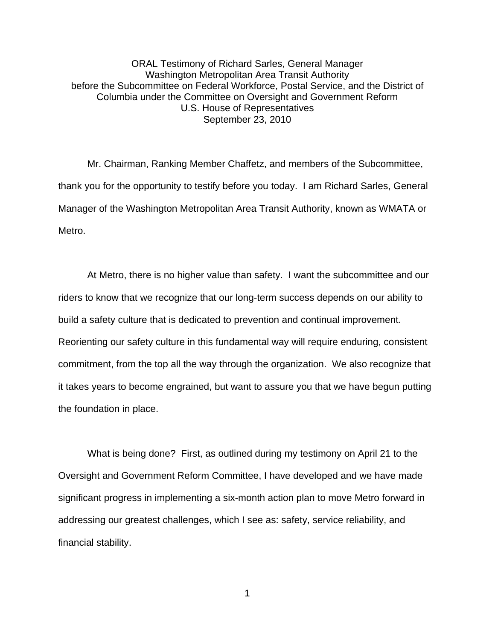ORAL Testimony of Richard Sarles, General Manager Washington Metropolitan Area Transit Authority before the Subcommittee on Federal Workforce, Postal Service, and the District of Columbia under the Committee on Oversight and Government Reform U.S. House of Representatives September 23, 2010

Mr. Chairman, Ranking Member Chaffetz, and members of the Subcommittee, thank you for the opportunity to testify before you today. I am Richard Sarles, General Manager of the Washington Metropolitan Area Transit Authority, known as WMATA or Metro.

At Metro, there is no higher value than safety. I want the subcommittee and our riders to know that we recognize that our long-term success depends on our ability to build a safety culture that is dedicated to prevention and continual improvement. Reorienting our safety culture in this fundamental way will require enduring, consistent commitment, from the top all the way through the organization. We also recognize that it takes years to become engrained, but want to assure you that we have begun putting the foundation in place.

 What is being done? First, as outlined during my testimony on April 21 to the Oversight and Government Reform Committee, I have developed and we have made significant progress in implementing a six-month action plan to move Metro forward in addressing our greatest challenges, which I see as: safety, service reliability, and financial stability.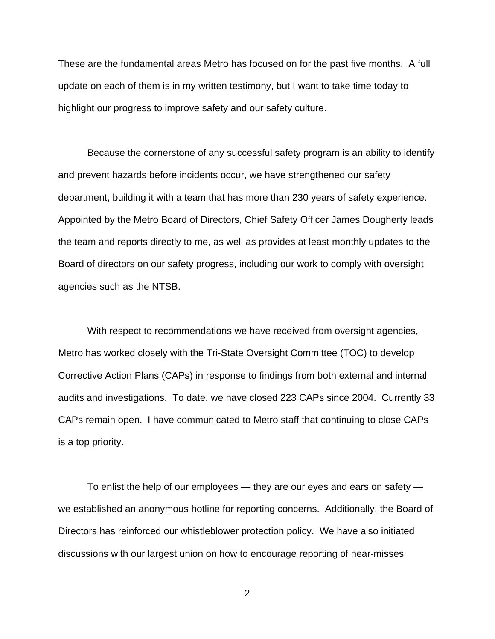These are the fundamental areas Metro has focused on for the past five months. A full update on each of them is in my written testimony, but I want to take time today to highlight our progress to improve safety and our safety culture.

Because the cornerstone of any successful safety program is an ability to identify and prevent hazards before incidents occur, we have strengthened our safety department, building it with a team that has more than 230 years of safety experience. Appointed by the Metro Board of Directors, Chief Safety Officer James Dougherty leads the team and reports directly to me, as well as provides at least monthly updates to the Board of directors on our safety progress, including our work to comply with oversight agencies such as the NTSB.

With respect to recommendations we have received from oversight agencies, Metro has worked closely with the Tri-State Oversight Committee (TOC) to develop Corrective Action Plans (CAPs) in response to findings from both external and internal audits and investigations. To date, we have closed 223 CAPs since 2004. Currently 33 CAPs remain open. I have communicated to Metro staff that continuing to close CAPs is a top priority.

To enlist the help of our employees — they are our eyes and ears on safety we established an anonymous hotline for reporting concerns. Additionally, the Board of Directors has reinforced our whistleblower protection policy. We have also initiated discussions with our largest union on how to encourage reporting of near-misses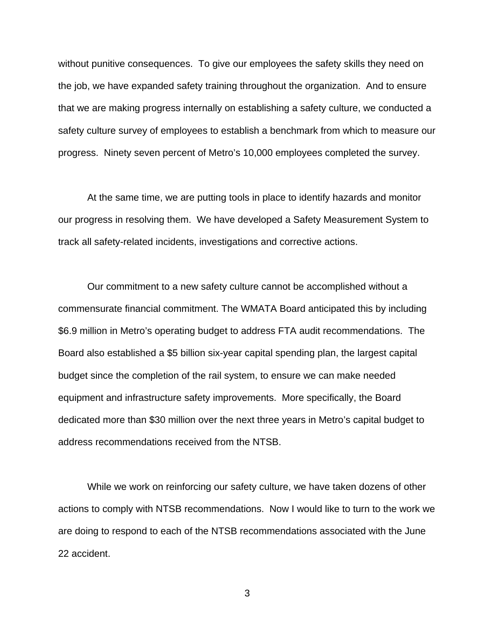without punitive consequences. To give our employees the safety skills they need on the job, we have expanded safety training throughout the organization. And to ensure that we are making progress internally on establishing a safety culture, we conducted a safety culture survey of employees to establish a benchmark from which to measure our progress. Ninety seven percent of Metro's 10,000 employees completed the survey.

At the same time, we are putting tools in place to identify hazards and monitor our progress in resolving them. We have developed a Safety Measurement System to track all safety-related incidents, investigations and corrective actions.

Our commitment to a new safety culture cannot be accomplished without a commensurate financial commitment. The WMATA Board anticipated this by including \$6.9 million in Metro's operating budget to address FTA audit recommendations. The Board also established a \$5 billion six-year capital spending plan, the largest capital budget since the completion of the rail system, to ensure we can make needed equipment and infrastructure safety improvements. More specifically, the Board dedicated more than \$30 million over the next three years in Metro's capital budget to address recommendations received from the NTSB.

While we work on reinforcing our safety culture, we have taken dozens of other actions to comply with NTSB recommendations. Now I would like to turn to the work we are doing to respond to each of the NTSB recommendations associated with the June 22 accident.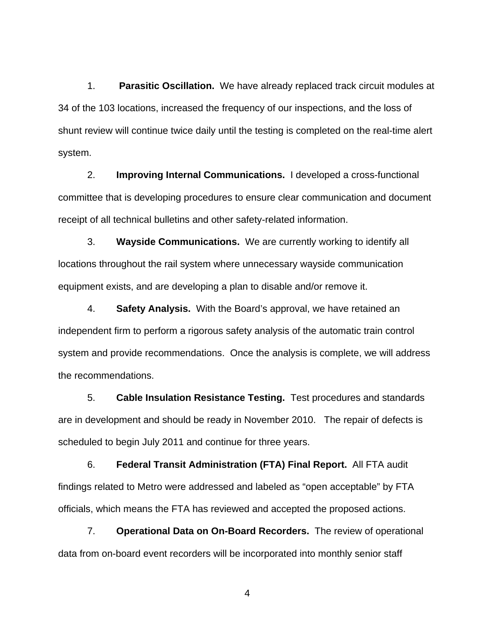1. **Parasitic Oscillation.** We have already replaced track circuit modules at 34 of the 103 locations, increased the frequency of our inspections, and the loss of shunt review will continue twice daily until the testing is completed on the real-time alert system.

2. **Improving Internal Communications.** I developed a cross-functional committee that is developing procedures to ensure clear communication and document receipt of all technical bulletins and other safety-related information.

3. **Wayside Communications.** We are currently working to identify all locations throughout the rail system where unnecessary wayside communication equipment exists, and are developing a plan to disable and/or remove it.

4. **Safety Analysis.** With the Board's approval, we have retained an independent firm to perform a rigorous safety analysis of the automatic train control system and provide recommendations. Once the analysis is complete, we will address the recommendations.

5. **Cable Insulation Resistance Testing.** Test procedures and standards are in development and should be ready in November 2010. The repair of defects is scheduled to begin July 2011 and continue for three years.

6. **Federal Transit Administration (FTA) Final Report.** All FTA audit findings related to Metro were addressed and labeled as "open acceptable" by FTA officials, which means the FTA has reviewed and accepted the proposed actions.

7. **Operational Data on On-Board Recorders.** The review of operational data from on-board event recorders will be incorporated into monthly senior staff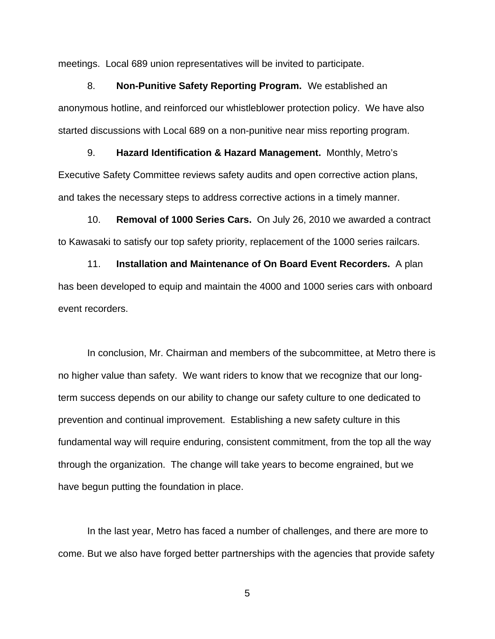meetings. Local 689 union representatives will be invited to participate.

8. **Non-Punitive Safety Reporting Program.** We established an anonymous hotline, and reinforced our whistleblower protection policy. We have also started discussions with Local 689 on a non-punitive near miss reporting program.

9. **Hazard Identification & Hazard Management.** Monthly, Metro's Executive Safety Committee reviews safety audits and open corrective action plans, and takes the necessary steps to address corrective actions in a timely manner.

10. **Removal of 1000 Series Cars.** On July 26, 2010 we awarded a contract to Kawasaki to satisfy our top safety priority, replacement of the 1000 series railcars.

11. **Installation and Maintenance of On Board Event Recorders.** A plan has been developed to equip and maintain the 4000 and 1000 series cars with onboard event recorders.

In conclusion, Mr. Chairman and members of the subcommittee, at Metro there is no higher value than safety. We want riders to know that we recognize that our longterm success depends on our ability to change our safety culture to one dedicated to prevention and continual improvement. Establishing a new safety culture in this fundamental way will require enduring, consistent commitment, from the top all the way through the organization. The change will take years to become engrained, but we have begun putting the foundation in place.

 In the last year, Metro has faced a number of challenges, and there are more to come. But we also have forged better partnerships with the agencies that provide safety